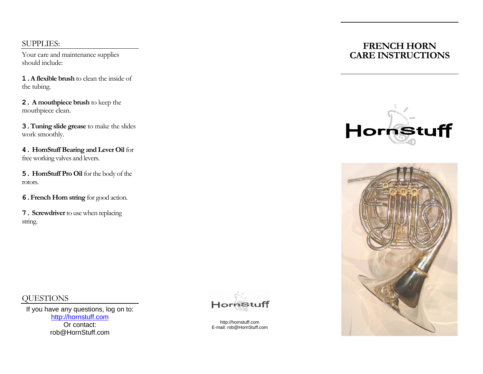### SUPPLIES:

Your care and maintenance supplies should include:

**1.A flexible brush** to clean the inside of the tubing.

**2. A mouthpiece brush** to keep the mouthpiece clean.

**3.Tuning slide grease** to make the slides work smoothly.

**4. HornStuff Bearing and Lever Oil** for free working valves and levers.

**5. HornStuff Pro Oil** for the body of the rotors.

**6.French Horn string** for good action.

**7. Screwdriver** to use when replacing string.

# Hori

http://hornstuff.com E-mail: rob@HornStuff.com

# **FRENCH HORN CARE INSTRUCTIONS**





#### **OUESTIONS**

If you have any questions, log on to: [http://hornstuff.com](http://hornstuff.com/) Or contact: rob@HornStuff.com